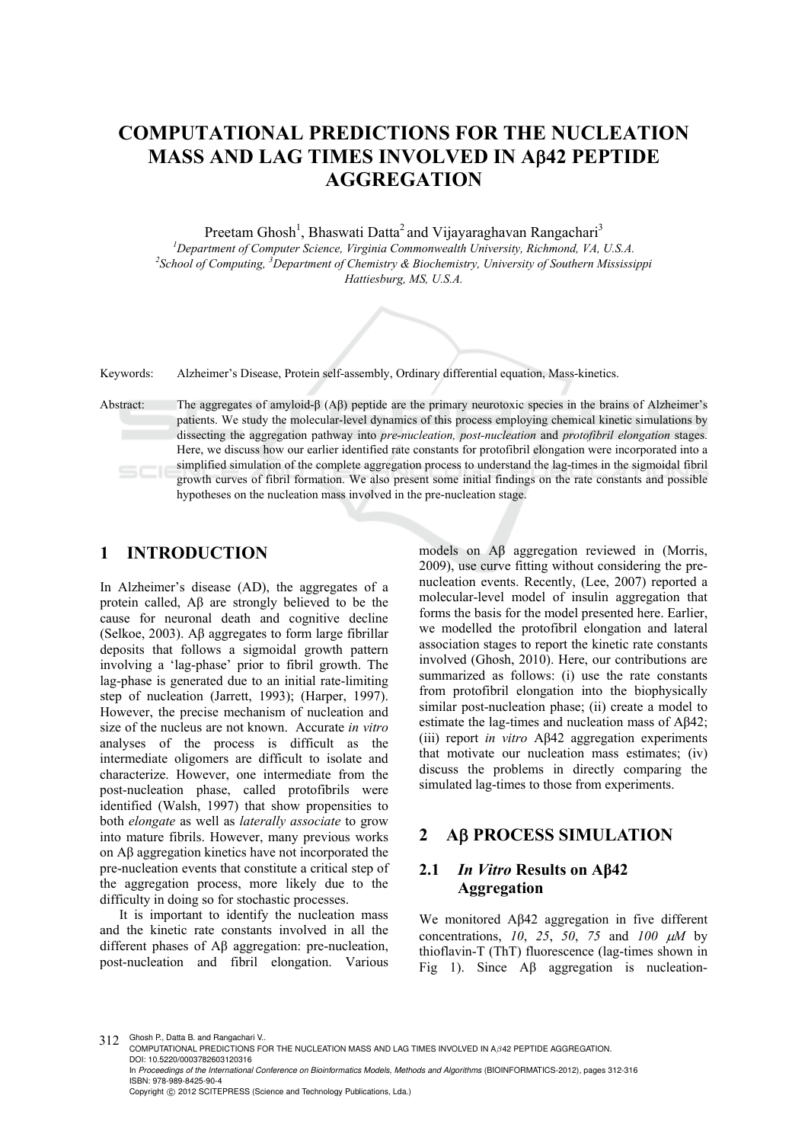# **COMPUTATIONAL PREDICTIONS FOR THE NUCLEATION MASS AND LAG TIMES INVOLVED IN A42 PEPTIDE AGGREGATION**

Preetam Ghosh<sup>1</sup>, Bhaswati Datta<sup>2</sup> and Vijayaraghavan Rangachari<sup>3</sup>

<sup>1</sup>Department of Computer Science, Virginia Commonwealth University, Richmond, VA, U.S.A. *School of Computing, 3 Department of Chemistry & Biochemistry, University of Southern Mississippi Hattiesburg, MS, U.S.A.* 

Keywords: Alzheimer's Disease, Protein self-assembly, Ordinary differential equation, Mass-kinetics.

Abstract: The aggregates of amyloid-β (Aβ) peptide are the primary neurotoxic species in the brains of Alzheimer's patients. We study the molecular-level dynamics of this process employing chemical kinetic simulations by dissecting the aggregation pathway into *pre-nucleation, post-nucleation* and *protofibril elongation* stages. Here, we discuss how our earlier identified rate constants for protofibril elongation were incorporated into a simplified simulation of the complete aggregation process to understand the lag-times in the sigmoidal fibril  $SCI$ growth curves of fibril formation. We also present some initial findings on the rate constants and possible hypotheses on the nucleation mass involved in the pre-nucleation stage.

## **1 INTRODUCTION**

In Alzheimer's disease (AD), the aggregates of a protein called, Aβ are strongly believed to be the cause for neuronal death and cognitive decline (Selkoe, 2003). Aβ aggregates to form large fibrillar deposits that follows a sigmoidal growth pattern involving a 'lag-phase' prior to fibril growth. The lag-phase is generated due to an initial rate-limiting step of nucleation (Jarrett, 1993); (Harper, 1997). However, the precise mechanism of nucleation and size of the nucleus are not known. Accurate *in vitro* analyses of the process is difficult as the intermediate oligomers are difficult to isolate and characterize. However, one intermediate from the post-nucleation phase, called protofibrils were identified (Walsh, 1997) that show propensities to both *elongate* as well as *laterally associate* to grow into mature fibrils. However, many previous works on Aβ aggregation kinetics have not incorporated the pre-nucleation events that constitute a critical step of the aggregation process, more likely due to the difficulty in doing so for stochastic processes.

It is important to identify the nucleation mass and the kinetic rate constants involved in all the different phases of Aβ aggregation: pre-nucleation, post-nucleation and fibril elongation. Various

models on Aβ aggregation reviewed in (Morris, 2009), use curve fitting without considering the prenucleation events. Recently, (Lee, 2007) reported a molecular-level model of insulin aggregation that forms the basis for the model presented here. Earlier, we modelled the protofibril elongation and lateral association stages to report the kinetic rate constants involved (Ghosh, 2010). Here, our contributions are summarized as follows: (i) use the rate constants from protofibril elongation into the biophysically similar post-nucleation phase; (ii) create a model to estimate the lag-times and nucleation mass of Aβ42; (iii) report *in vitro* Aβ42 aggregation experiments that motivate our nucleation mass estimates; (iv) discuss the problems in directly comparing the simulated lag-times to those from experiments.

#### **2 A PROCESS SIMULATION**

#### **2.1** *In Vitro* **Results on Aβ42 Aggregation**

We monitored Aβ42 aggregation in five different concentrations,  $10$ ,  $25$ ,  $50$ ,  $75$  and  $100 \mu M$  by thioflavin-T (ThT) fluorescence (lag-times shown in Fig 1). Since Aβ aggregation is nucleation-

312 Ghosh P., Datta B. and Rangachari V.

COMPUTATIONAL PREDICTIONS FOR THE NUCLEATION MASS AND LAG TIMES INVOLVED IN Aβ42 PEPTIDE AGGREGATION. DOI: 10.5220/0003782603120316

In *Proceedings of the International Conference on Bioinformatics Models, Methods and Algorithms* (BIOINFORMATICS-2012), pages 312-316 ISBN: 978-989-8425-90-4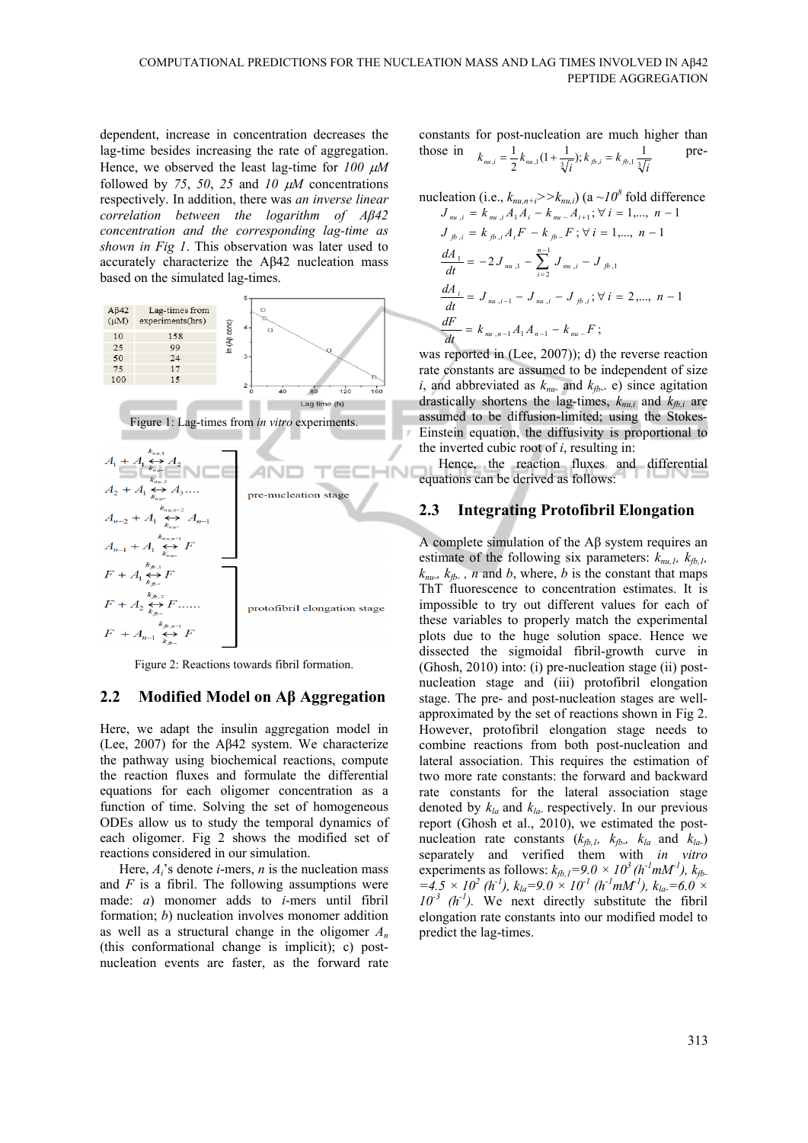dependent, increase in concentration decreases the lag-time besides increasing the rate of aggregation. Hence, we observed the least lag-time for  $100 \mu M$ followed by 75, 50, 25 and 10  $\mu$ M concentrations respectively. In addition, there was *an inverse linear correlation between the logarithm of Aβ42 concentration and the corresponding lag-time as shown in Fig 1*. This observation was later used to accurately characterize the Aβ42 nucleation mass based on the simulated lag-times.



Figure 2: Reactions towards fibril formation.

#### **2.2 Modified Model on Aβ Aggregation**

Here, we adapt the insulin aggregation model in (Lee, 2007) for the Aβ42 system. We characterize the pathway using biochemical reactions, compute the reaction fluxes and formulate the differential equations for each oligomer concentration as a function of time. Solving the set of homogeneous ODEs allow us to study the temporal dynamics of each oligomer. Fig 2 shows the modified set of reactions considered in our simulation.

Here, *Ai*'s denote *i*-mers, *n* is the nucleation mass and *F* is a fibril. The following assumptions were made: *a*) monomer adds to *i*-mers until fibril formation; *b*) nucleation involves monomer addition as well as a structural change in the oligomer *An* (this conformational change is implicit); c) postnucleation events are faster, as the forward rate

constants for post-nucleation are much higher than those in 
$$
k_{m,i} = \frac{1}{2} k_{m,i} (1 + \frac{1}{\sqrt[3]{i}}); k_{\beta,i} = k_{\beta,1} \frac{1}{\sqrt[3]{i}}
$$
 pre-

nucleation (i.e., 
$$
k_{m_i,n+i}>>k_{m_i,i}
$$
) (a  $\sim 10^8$  fold difference  
\n $J_{m_i,i} = k_{m_i,i}A_1A_i - k_{m_i}A_{i+1}; \forall i = 1,..., n-1$   
\n $J_{j,b,i} = k_{j,b,i}A_iF - k_{j,b-}F; \forall i = 1,..., n-1$   
\n $\frac{dA_1}{dt} = -2J_{m_i,1} - \sum_{i=2}^{n-1} J_{m_i,i} - J_{j,b,1}$   
\n $\frac{dA_i}{dt} = J_{m_i,i-1} - J_{m_i,i} - J_{j,b,i}; \forall i = 2,..., n-1$   
\n $\frac{dF}{dt} = k_{m_i,n-1}A_1A_{n-1} - k_{m_i}F;$ 

was reported in (Lee, 2007)); d) the reverse reaction rate constants are assumed to be independent of size *i*, and abbreviated as  $k_{nu}$  and  $k_{fb}$ . e) since agitation drastically shortens the lag-times,  $k_{nu,i}$  and  $k_{fb,i}$  are assumed to be diffusion-limited; using the Stokes-Einstein equation, the diffusivity is proportional to the inverted cubic root of *i*, resulting in:

Hence, the reaction fluxes and differential equations can be derived as follows:

#### **2.3 Integrating Protofibril Elongation**

A complete simulation of the Aβ system requires an estimate of the following six parameters:  $k_{mu}$ ,  $k_{th}$ ,  $k_{nu}$ ,  $k_{rb}$ , *n* and *b*, where, *b* is the constant that maps ThT fluorescence to concentration estimates. It is impossible to try out different values for each of these variables to properly match the experimental plots due to the huge solution space. Hence we dissected the sigmoidal fibril-growth curve in (Ghosh, 2010) into: (i) pre-nucleation stage (ii) postnucleation stage and (iii) protofibril elongation stage. The pre- and post-nucleation stages are wellapproximated by the set of reactions shown in Fig 2. However, protofibril elongation stage needs to combine reactions from both post-nucleation and lateral association. This requires the estimation of two more rate constants: the forward and backward rate constants for the lateral association stage denoted by *kla* and *kla-* respectively. In our previous report (Ghosh et al., 2010), we estimated the postnucleation rate constants  $(k_{fb,l}, k_{fb-}, k_{la}$  and  $k_{la-})$ separately and verified them with *in vitro* experiments as follows:  $k_{fb,1} = 9.0 \times 10^3 (h^{-1}mM^1)$ ,  $k_{fb}$  $=4.5 \times 10^2$  (h<sup>-1</sup>),  $k_{la}=9.0 \times 10^{-1}$  (h<sup>-1</sup>mM<sup>-1</sup>),  $k_{la}=6.0 \times$  $10^{-3}$  (h<sup>-1</sup>). We next directly substitute the fibril elongation rate constants into our modified model to predict the lag-times.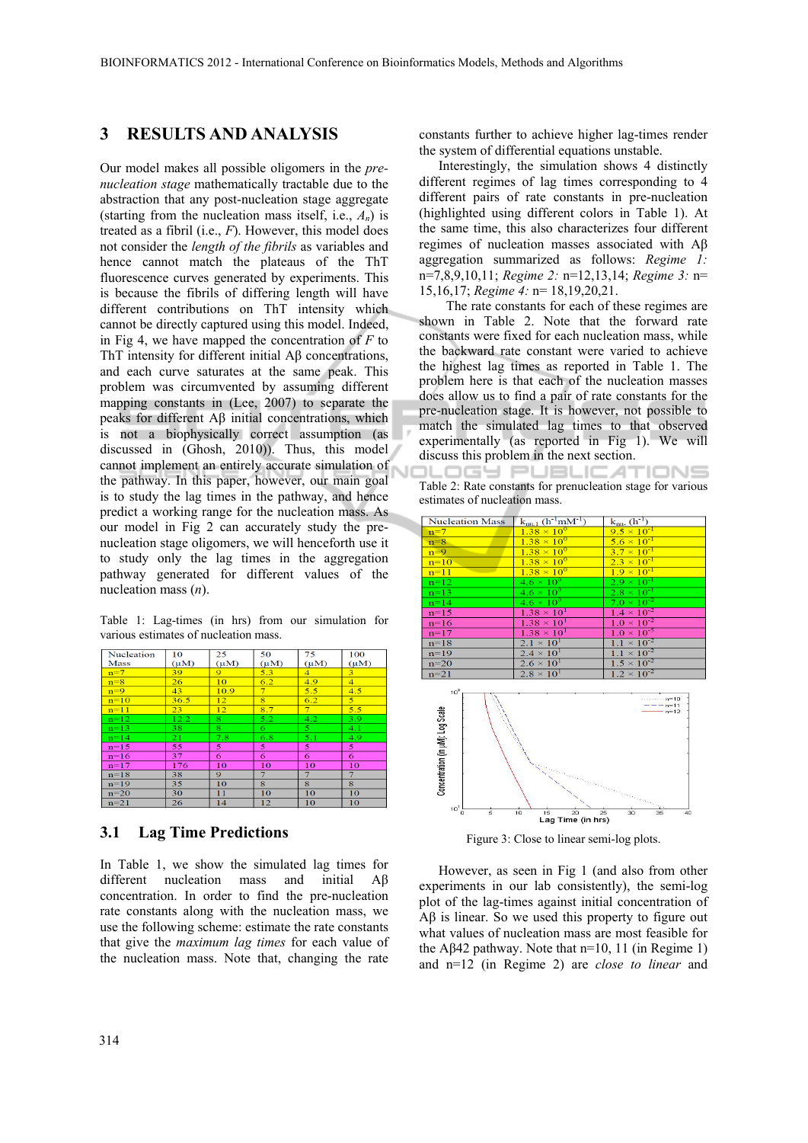### **3 RESULTS AND ANALYSIS**

Our model makes all possible oligomers in the *prenucleation stage* mathematically tractable due to the abstraction that any post-nucleation stage aggregate (starting from the nucleation mass itself, i.e.,  $A_n$ ) is treated as a fibril (i.e., *F*). However, this model does not consider the *length of the fibrils* as variables and hence cannot match the plateaus of the ThT fluorescence curves generated by experiments. This is because the fibrils of differing length will have different contributions on ThT intensity which cannot be directly captured using this model. Indeed, in Fig 4, we have mapped the concentration of *F* to ThT intensity for different initial Aβ concentrations, and each curve saturates at the same peak. This problem was circumvented by assuming different mapping constants in (Lee, 2007) to separate the peaks for different Aβ initial concentrations, which is not a biophysically correct assumption (as discussed in (Ghosh, 2010)). Thus, this model cannot implement an entirely accurate simulation of the pathway. In this paper, however, our main goal is to study the lag times in the pathway, and hence predict a working range for the nucleation mass. As our model in Fig 2 can accurately study the prenucleation stage oligomers, we will henceforth use it to study only the lag times in the aggregation pathway generated for different values of the nucleation mass (*n*).

Table 1: Lag-times (in hrs) from our simulation for various estimates of nucleation mass.

| Nucleation | 10              | 25             | 50                | 75                | 100             |
|------------|-----------------|----------------|-------------------|-------------------|-----------------|
| Mass       | $(\mu M)$       | $(\mu M)$      | $(\mu M)$         | $(\mu M)$         | $(\mu M)$       |
| $n=7$      | 39              | $\overline{9}$ | 5.3               | $\overline{4}$    | 3               |
| $n=8$      | 26              | 10             | 6.2               | 4.9               | $\overline{4}$  |
| $n=9$      | 43              | 10.9           | $\overline{\tau}$ | 5.5               | 4.5             |
| $n=10$     | 36.5            | 12             | $\overline{8}$    | 6.2               | $\overline{5}$  |
| $n=11$     | 23 <sup>°</sup> | 12             | 8.7               | 7 <sup>1</sup>    | 5.5             |
| $n=12$     | 12.2            | 8              | 5.2               | 4.2               | 3.9             |
| $n=13$     | 38              | $\overline{8}$ | 6.                | 5                 | 4.1             |
| $n=14$     | 21              | 7.8            | 6.8               | 5.1               | 4.9             |
| $n=15$     | 55              | 5              | 5                 | 5                 | $\overline{5}$  |
| $n=16$     | 37              | 6              | 6                 | 6                 | 6               |
| $n=17$     | 176             | 10             | 10                | 10                | 10              |
| $n=18$     | 38              | 9.             | $\tau$            | $\overline{\tau}$ | 7               |
| $n=19$     | 35              | 10             | 8                 | 8                 | 8               |
| $n=20$     | 30              | 11             | 10                | 10                | 10              |
| $n=21$     | 26              | 14             | 12                | 10 <sup>1</sup>   | 10 <sup>1</sup> |

#### **3.1 Lag Time Predictions**

In Table 1, we show the simulated lag times for different nucleation mass and initial Aβ concentration. In order to find the pre-nucleation rate constants along with the nucleation mass, we use the following scheme: estimate the rate constants that give the *maximum lag times* for each value of the nucleation mass. Note that, changing the rate constants further to achieve higher lag-times render the system of differential equations unstable.

Interestingly, the simulation shows 4 distinctly different regimes of lag times corresponding to 4 different pairs of rate constants in pre-nucleation (highlighted using different colors in Table 1). At the same time, this also characterizes four different regimes of nucleation masses associated with Aβ aggregation summarized as follows: *Regime 1:* n=7,8,9,10,11; *Regime 2:* n=12,13,14; *Regime 3:* n= 15,16,17; *Regime 4:* n= 18,19,20,21.

 The rate constants for each of these regimes are shown in Table 2. Note that the forward rate constants were fixed for each nucleation mass, while the backward rate constant were varied to achieve the highest lag times as reported in Table 1. The problem here is that each of the nucleation masses does allow us to find a pair of rate constants for the pre-nucleation stage. It is however, not possible to match the simulated lag times to that observed experimentally (as reported in Fig 1). We will discuss this problem in the next section.

.OGY PUBLIC ATIONS Table 2: Rate constants for prenucleation stage for various estimates of nucleation mass.

| <b>Nucleation Mass</b> | $k_{m,1}$ (h <sup>-1</sup> mM <sup>-1</sup> ) | $k_{mu}$ (h <sup>-1</sup> ) |
|------------------------|-----------------------------------------------|-----------------------------|
| $n=7$                  | $1.38 \times 10^{0}$                          | $9.5 \times 10^{-1}$        |
| $n=8$                  | $1.38 \times 10^{0}$                          | $5.6 \times 10^{-1}$        |
| $n=9$                  | $1.38 \times 10^{0}$                          | $3.7 \times 10^{-1}$        |
| $n=10$                 | $1.38 \times 10^{0}$                          | $2.3 \times 10^{-1}$        |
| $n=11$                 | $1.38 \times 10^{0}$                          | $1.9 \times 10^{-1}$        |
| $n=12$                 | $4.6 \times 10^{0}$                           | $2.9 \times 10^{-1}$        |
| $n=13$                 | $4.6 \times 10^{0}$                           | $2.8 \times 10^{-1}$        |
| $n=14$                 | $4.6 \times 10^{6}$                           | $7.0 \times 10^{-2}$        |
| $n=15$                 | $1.38 \times 10^{1}$                          | $1.4 \times 10^{-2}$        |
| $n=16$                 | $1.38\times10^{1}$                            | $1.0 \times 10^{-2}$        |
| $n=17$                 | $1.38 \times 10^{1}$                          | $1.0 \times 10^{-5}$        |
| $n=18$                 | $2.1 \times 10^{1}$                           | $1.1 \times 10^{-2}$        |
| $n=19$                 | $2.4 \times 10^{1}$                           | $1.1 \times 10^{-2}$        |
| $n=20$                 | $2.6 \times 10^{1}$                           | $1.5 \times 10^{-2}$        |
| $n = 21$               | $2.8 \times 10^{1}$                           | $1.2 \times 10^{-2}$        |



Figure 3: Close to linear semi-log plots.

However, as seen in Fig 1 (and also from other experiments in our lab consistently), the semi-log plot of the lag-times against initial concentration of Aβ is linear. So we used this property to figure out what values of nucleation mass are most feasible for the A $\beta$ 42 pathway. Note that n=10, 11 (in Regime 1) and n=12 (in Regime 2) are *close to linear* and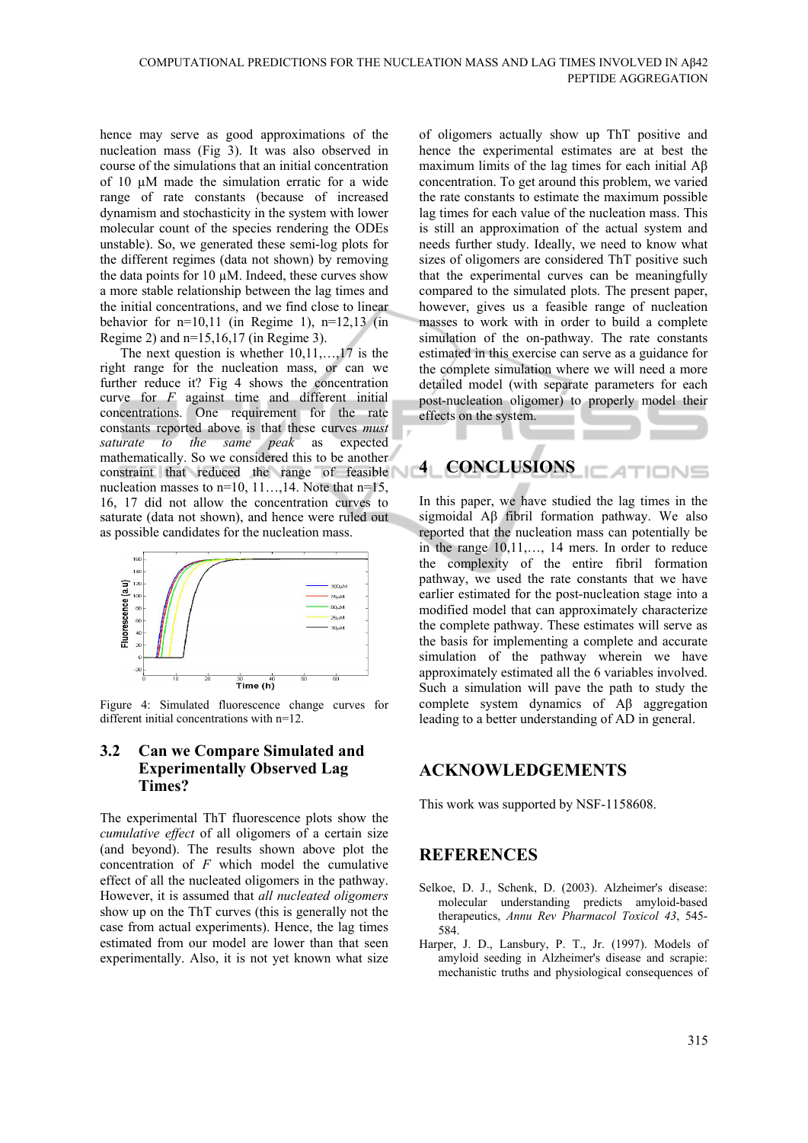hence may serve as good approximations of the nucleation mass (Fig 3). It was also observed in course of the simulations that an initial concentration of 10  $\mu$ M made the simulation erratic for a wide range of rate constants (because of increased dynamism and stochasticity in the system with lower molecular count of the species rendering the ODEs unstable). So, we generated these semi-log plots for the different regimes (data not shown) by removing the data points for  $10 \mu M$ . Indeed, these curves show a more stable relationship between the lag times and the initial concentrations, and we find close to linear behavior for  $n=10,11$  (in Regime 1),  $n=12,13$  (in Regime 2) and n=15,16,17 (in Regime 3).

The next question is whether 10,11,…,17 is the right range for the nucleation mass, or can we further reduce it? Fig 4 shows the concentration curve for *F* against time and different initial concentrations. One requirement for the rate constants reported above is that these curves *must saturate to the same peak* as expected mathematically. So we considered this to be another constraint that reduced the range of feasible nucleation masses to  $n=10, 11,...14$ . Note that  $n=15$ , 16, 17 did not allow the concentration curves to saturate (data not shown), and hence were ruled out as possible candidates for the nucleation mass.



Figure 4: Simulated fluorescence change curves for different initial concentrations with n=12.

#### **3.2 Can we Compare Simulated and Experimentally Observed Lag Times?**

The experimental ThT fluorescence plots show the *cumulative effect* of all oligomers of a certain size (and beyond). The results shown above plot the concentration of *F* which model the cumulative effect of all the nucleated oligomers in the pathway. However, it is assumed that *all nucleated oligomers* show up on the ThT curves (this is generally not the case from actual experiments). Hence, the lag times estimated from our model are lower than that seen experimentally. Also, it is not yet known what size

of oligomers actually show up ThT positive and hence the experimental estimates are at best the maximum limits of the lag times for each initial  $\text{A}\beta$ concentration. To get around this problem, we varied the rate constants to estimate the maximum possible lag times for each value of the nucleation mass. This is still an approximation of the actual system and needs further study. Ideally, we need to know what sizes of oligomers are considered ThT positive such that the experimental curves can be meaningfully compared to the simulated plots. The present paper, however, gives us a feasible range of nucleation masses to work with in order to build a complete simulation of the on-pathway. The rate constants estimated in this exercise can serve as a guidance for the complete simulation where we will need a more detailed model (with separate parameters for each post-nucleation oligomer) to properly model their effects on the system.

# **4 CONCLUSIONS**

In this paper, we have studied the lag times in the sigmoidal Aβ fibril formation pathway. We also reported that the nucleation mass can potentially be in the range 10,11,…, 14 mers. In order to reduce the complexity of the entire fibril formation pathway, we used the rate constants that we have earlier estimated for the post-nucleation stage into a modified model that can approximately characterize the complete pathway. These estimates will serve as the basis for implementing a complete and accurate simulation of the pathway wherein we have approximately estimated all the 6 variables involved. Such a simulation will pave the path to study the complete system dynamics of Aβ aggregation leading to a better understanding of AD in general.

### **ACKNOWLEDGEMENTS**

This work was supported by NSF-1158608.

# **REFERENCES**

- Selkoe, D. J., Schenk, D. (2003). Alzheimer's disease: molecular understanding predicts amyloid-based therapeutics, *Annu Rev Pharmacol Toxicol 43*, 545- 584.
- Harper, J. D., Lansbury, P. T., Jr. (1997). Models of amyloid seeding in Alzheimer's disease and scrapie: mechanistic truths and physiological consequences of